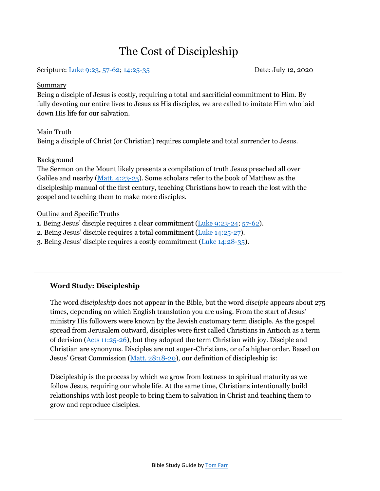# The Cost of Discipleship

Scripture: Luke 9:23, 57-62; 14:25-35

#### Summary

Being a disciple of Jesus is costly, requiring a total and sacrificial commitment to Him. By fully devoting our entire lives to Jesus as His disciples, we are called to imitate Him who laid down His life for our salvation.

### Main Truth

Being a disciple of Christ (or Christian) requires complete and total surrender to Jesus.

### **Background**

The Sermon on the Mount likely presents a compilation of truth Jesus preached all over Galilee and nearby (Matt. 4:23-25). Some scholars refer to the book of Matthew as the discipleship manual of the first century, teaching Christians how to reach the lost with the gospel and teaching them to make more disciples.

### Outline and Specific Truths

- 1. Being Jesus' disciple requires a clear commitment (Luke 9:23-24; 57-62).
- 2. Being Jesus' disciple requires a total commitment (Luke 14:25-27).
- 3. Being Jesus' disciple requires a costly commitment (Luke 14:28-35).

## **Word Study: Discipleship**

The word *discipleship* does not appear in the Bible, but the word *disciple* appears about 275 times, depending on which English translation you are using. From the start of Jesus' ministry His followers were known by the Jewish customary term disciple. As the gospel spread from Jerusalem outward, disciples were first called Christians in Antioch as a term of derision (Acts 11:25-26), but they adopted the term Christian with joy. Disciple and Christian are synonyms. Disciples are not super-Christians, or of a higher order. Based on Jesus' Great Commission (Matt. 28:18-20), our definition of discipleship is:

Discipleship is the process by which we grow from lostness to spiritual maturity as we follow Jesus, requiring our whole life. At the same time, Christians intentionally build relationships with lost people to bring them to salvation in Christ and teaching them to grow and reproduce disciples.